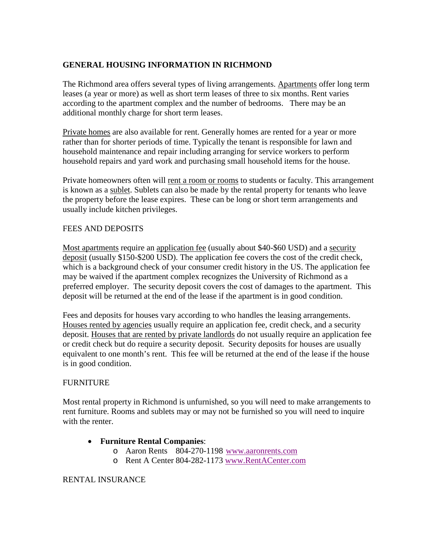# **GENERAL HOUSING INFORMATION IN RICHMOND**

The Richmond area offers several types of living arrangements. Apartments offer long term leases (a year or more) as well as short term leases of three to six months. Rent varies according to the apartment complex and the number of bedrooms. There may be an additional monthly charge for short term leases.

Private homes are also available for rent. Generally homes are rented for a year or more rather than for shorter periods of time. Typically the tenant is responsible for lawn and household maintenance and repair including arranging for service workers to perform household repairs and yard work and purchasing small household items for the house.

Private homeowners often will rent a room or rooms to students or faculty. This arrangement is known as a sublet. Sublets can also be made by the rental property for tenants who leave the property before the lease expires. These can be long or short term arrangements and usually include kitchen privileges.

### FEES AND DEPOSITS

Most apartments require an application fee (usually about \$40-\$60 USD) and a security deposit (usually \$150-\$200 USD). The application fee covers the cost of the credit check, which is a background check of your consumer credit history in the US. The application fee may be waived if the apartment complex recognizes the University of Richmond as a preferred employer. The security deposit covers the cost of damages to the apartment. This deposit will be returned at the end of the lease if the apartment is in good condition.

Fees and deposits for houses vary according to who handles the leasing arrangements. Houses rented by agencies usually require an application fee, credit check, and a security deposit. Houses that are rented by private landlords do not usually require an application fee or credit check but do require a security deposit. Security deposits for houses are usually equivalent to one month's rent. This fee will be returned at the end of the lease if the house is in good condition.

### FURNITURE

Most rental property in Richmond is unfurnished, so you will need to make arrangements to rent furniture. Rooms and sublets may or may not be furnished so you will need to inquire with the renter.

### • **Furniture Rental Companies**:

- o Aaron Rents 804-270-1198 [www.aaronrents.com](http://www.aaronrents.com/)
- o Rent A Center 804-282-1173 [www.RentACenter.com](http://www.rentacenter.com/)

### RENTAL INSURANCE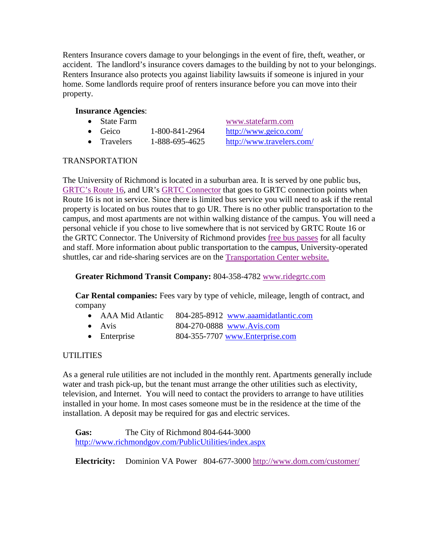Renters Insurance covers damage to your belongings in the event of fire, theft, weather, or accident. The landlord's insurance covers damages to the building by not to your belongings. Renters Insurance also protects you against liability lawsuits if someone is injured in your home. Some landlords require proof of renters insurance before you can move into their property.

# **Insurance Agencies**:

- 
- Geico  $1-800-841-2964$  <http://www.geico.com/>
- Travelers 1-888-695-4625 <http://www.travelers.com/>

• State Farm [www.statefarm.com](http://www.statefarm.com/)

### TRANSPORTATION

The University of Richmond is located in a suburban area. It is served by one public bus, [GRTC's Route 16,](http://www.ridegrtc.com/index.aspx) and UR's [GRTC Connector](http://transportation.richmond.edu/city/grtc.html) that goes to GRTC connection points when Route 16 is not in service. Since there is limited bus service you will need to ask if the rental property is located on bus routes that to go UR. There is no other public transportation to the campus, and most apartments are not within walking distance of the campus. You will need a personal vehicle if you chose to live somewhere that is not serviced by GRTC Route 16 or the GRTC Connector. The University of Richmond provides [free bus passes](http://police.richmond.edu/parking/sustainable/bus-pass.html) for all faculty and staff. More information about public transportation to the campus, University-operated shuttles, car and ride-sharing services are on the [Transportation Center website.](http://transportation.richmond.edu/)

## **Greater Richmond Transit Company:** 804-358-4782 [www.ridegrtc.com](http://www.ridegrtc.com/)

**Car Rental companies:** Fees vary by type of vehicle, mileage, length of contract, and company

- AAA Mid Atlantic 804-285-8912 [www.aaamidatlantic.com](http://www.aaamidatlantic.com/)
- Avis 804-270-0888 [www.Avis.com](http://www.avis.com/)
- Enterprise 804-355-7707 [www.Enterprise.com](http://www.enterprise.com/)

# **UTILITIES**

As a general rule utilities are not included in the monthly rent. Apartments generally include water and trash pick-up, but the tenant must arrange the other utilities such as electivity, television, and Internet. You will need to contact the providers to arrange to have utilities installed in your home. In most cases someone must be in the residence at the time of the installation. A deposit may be required for gas and electric services.

**Gas:** The City of Richmond 804-644-3000 <http://www.richmondgov.com/PublicUtilities/index.aspx>

**Electricity:** Dominion VA Power804-677-3000 <http://www.dom.com/customer/>